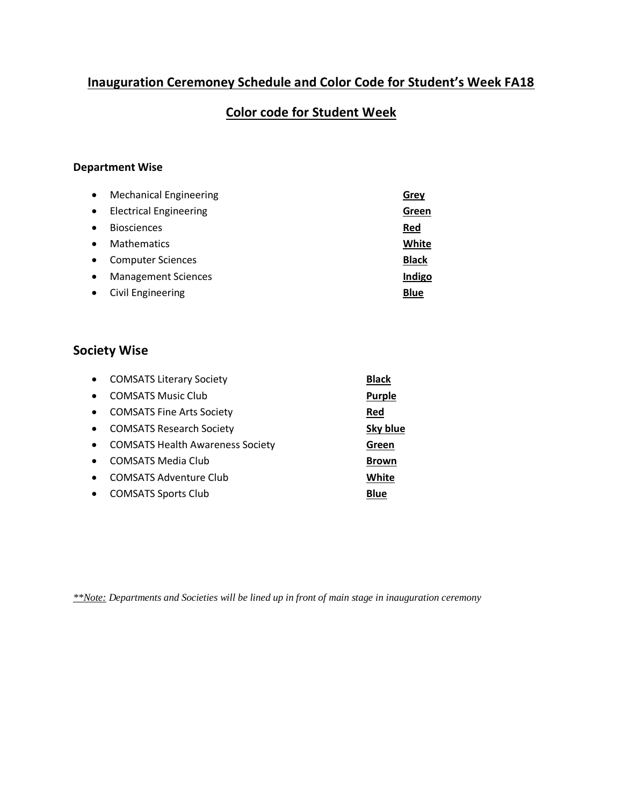## **Inauguration Ceremoney Schedule and Color Code for Student's Week FA18**

## **Color code for Student Week**

#### **Department Wise**

| $\bullet$ | <b>Mechanical Engineering</b> | Grev         |
|-----------|-------------------------------|--------------|
| $\bullet$ | <b>Electrical Engineering</b> | Green        |
| $\bullet$ | <b>Biosciences</b>            | Red          |
| $\bullet$ | <b>Mathematics</b>            | White        |
| $\bullet$ | <b>Computer Sciences</b>      | <b>Black</b> |
| $\bullet$ | <b>Management Sciences</b>    | Indigo       |
| $\bullet$ | Civil Engineering             | <b>Blue</b>  |

# **Society Wise**

| $\bullet$ | <b>COMSATS Literary Society</b>         | <b>Black</b>  |
|-----------|-----------------------------------------|---------------|
| $\bullet$ | <b>COMSATS Music Club</b>               | <b>Purple</b> |
| $\bullet$ | <b>COMSATS Fine Arts Society</b>        | Red           |
| $\bullet$ | <b>COMSATS Research Society</b>         | Sky blue      |
| $\bullet$ | <b>COMSATS Health Awareness Society</b> | Green         |
| $\bullet$ | <b>COMSATS Media Club</b>               | <b>Brown</b>  |
| $\bullet$ | <b>COMSATS Adventure Club</b>           | White         |
| $\bullet$ | <b>COMSATS Sports Club</b>              | <b>Blue</b>   |

*\*\*Note: Departments and Societies will be lined up in front of main stage in inauguration ceremony*